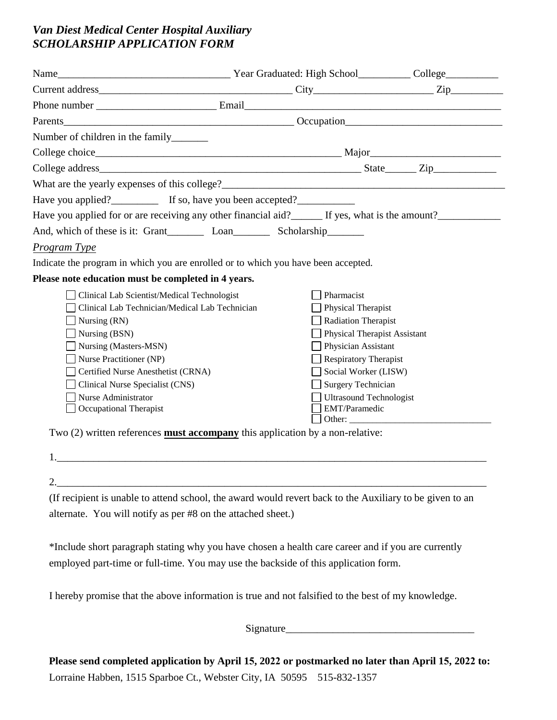## *Van Diest Medical Center Hospital Auxiliary SCHOLARSHIP APPLICATION FORM*

| Number of children in the family________                                               |                                                                                                                                                              |  |  |  |  |
|----------------------------------------------------------------------------------------|--------------------------------------------------------------------------------------------------------------------------------------------------------------|--|--|--|--|
|                                                                                        |                                                                                                                                                              |  |  |  |  |
|                                                                                        |                                                                                                                                                              |  |  |  |  |
|                                                                                        |                                                                                                                                                              |  |  |  |  |
| Have you applied?_____________ If so, have you been accepted?___________________       |                                                                                                                                                              |  |  |  |  |
|                                                                                        | Have you applied for or are receiving any other financial aid?<br>If yes, what is the amount?<br><u>Let</u> range the amount?<br>If yes, what is the amount? |  |  |  |  |
|                                                                                        |                                                                                                                                                              |  |  |  |  |
| Program Type                                                                           |                                                                                                                                                              |  |  |  |  |
| Indicate the program in which you are enrolled or to which you have been accepted.     |                                                                                                                                                              |  |  |  |  |
| Please note education must be completed in 4 years.                                    |                                                                                                                                                              |  |  |  |  |
| Clinical Lab Scientist/Medical Technologist                                            | Pharmacist                                                                                                                                                   |  |  |  |  |
| Clinical Lab Technician/Medical Lab Technician                                         | Physical Therapist                                                                                                                                           |  |  |  |  |
| Nursing (RN)                                                                           | <b>Radiation Therapist</b>                                                                                                                                   |  |  |  |  |
| Nursing (BSN)                                                                          | <b>Physical Therapist Assistant</b>                                                                                                                          |  |  |  |  |
| Nursing (Masters-MSN)                                                                  | Physician Assistant                                                                                                                                          |  |  |  |  |
| Nurse Practitioner (NP)                                                                | $\Box$ Respiratory Therapist                                                                                                                                 |  |  |  |  |
| Certified Nurse Anesthetist (CRNA)                                                     | Social Worker (LISW)                                                                                                                                         |  |  |  |  |
| Clinical Nurse Specialist (CNS)                                                        | $\Box$ Surgery Technician                                                                                                                                    |  |  |  |  |
| Nurse Administrator                                                                    | <b>Ultrasound Technologist</b>                                                                                                                               |  |  |  |  |
| Occupational Therapist                                                                 | EMT/Paramedic                                                                                                                                                |  |  |  |  |
|                                                                                        | Other:                                                                                                                                                       |  |  |  |  |
| Two $(2)$ written references <b>must accompany</b> this application by a non-relative: |                                                                                                                                                              |  |  |  |  |

| <u>.</u> |  |  |
|----------|--|--|

(If recipient is unable to attend school, the award would revert back to the Auxiliary to be given to an alternate. You will notify as per #8 on the attached sheet.)

\*Include short paragraph stating why you have chosen a health care career and if you are currently employed part-time or full-time. You may use the backside of this application form.

I hereby promise that the above information is true and not falsified to the best of my knowledge.

Signature\_\_\_\_\_\_\_\_\_\_\_\_\_\_\_\_\_\_\_\_\_\_\_\_\_\_\_\_\_\_\_\_\_\_\_\_

**Please send completed application by April 15, 2022 or postmarked no later than April 15, 2022 to:** Lorraine Habben, 1515 Sparboe Ct., Webster City, IA 50595 515-832-1357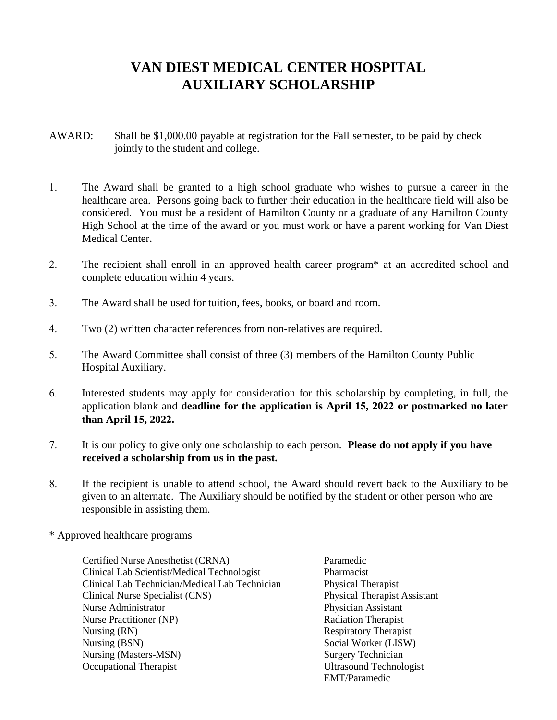## **VAN DIEST MEDICAL CENTER HOSPITAL AUXILIARY SCHOLARSHIP**

- AWARD: Shall be \$1,000.00 payable at registration for the Fall semester, to be paid by check jointly to the student and college.
- 1. The Award shall be granted to a high school graduate who wishes to pursue a career in the healthcare area. Persons going back to further their education in the healthcare field will also be considered. You must be a resident of Hamilton County or a graduate of any Hamilton County High School at the time of the award or you must work or have a parent working for Van Diest Medical Center.
- 2. The recipient shall enroll in an approved health career program\* at an accredited school and complete education within 4 years.
- 3. The Award shall be used for tuition, fees, books, or board and room.
- 4. Two (2) written character references from non-relatives are required.
- 5. The Award Committee shall consist of three (3) members of the Hamilton County Public Hospital Auxiliary.
- 6. Interested students may apply for consideration for this scholarship by completing, in full, the application blank and **deadline for the application is April 15, 2022 or postmarked no later than April 15, 2022.**
- 7. It is our policy to give only one scholarship to each person. **Please do not apply if you have received a scholarship from us in the past.**
- 8. If the recipient is unable to attend school, the Award should revert back to the Auxiliary to be given to an alternate. The Auxiliary should be notified by the student or other person who are responsible in assisting them.
- \* Approved healthcare programs

Certified Nurse Anesthetist (CRNA) Paramedic Clinical Lab Scientist/Medical Technologist Pharmacist Clinical Lab Technician/Medical Lab Technician Physical Therapist Clinical Nurse Specialist (CNS) Physical Therapist Assistant Nurse Administrator **Physician Assistant** Physician Assistant Nurse Practitioner (NP) Radiation Therapist Nursing (RN) Respiratory Therapist Nursing (BSN) Social Worker (LISW) Nursing (Masters-MSN) Surgery Technician Occupational Therapist Ultrasound Technologist

EMT/Paramedic